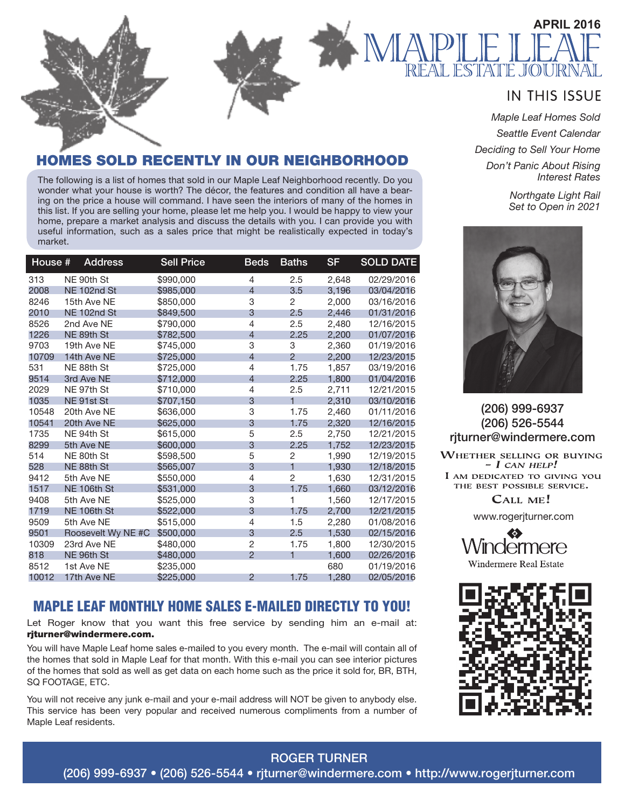

### **IN THIS ISSUE**

*Maple Leaf Homes Sold Seattle Event Calendar Deciding to Sell Your Home Don't Panic About Rising Interest Rates*

> *Northgate Light Rail Set to Open in 2021*



(206) 999-6937 (206) 526-5544 rjturner@windermere.com

**WHETHER SELLING OR BUYING**  $- I$  CAN HELP! I AM DEDICATED TO GIVING YOU THE BEST POSSIBLE SERVICE.

CALL ME!

www.rogerjturner.com



**Windermere Real Estate** 



### MES SOLD RECENTLY IN OUR NEIGHBORHOOD

The following is a list of homes that sold in our Maple Leaf Neighborhood recently. Do you wonder what your house is worth? The décor, the features and condition all have a bearing on the price a house will command. I have seen the interiors of many of the homes in this list. If you are selling your home, please let me help you. I would be happy to view your home, prepare a market analysis and discuss the details with you. I can provide you with useful information, such as a sales price that might be realistically expected in today's market.

| House # | <b>Address</b>     | <b>Sell Price</b> | <b>Beds</b>    | <b>Baths</b>   | <b>SF</b> | <b>SOLD DATE</b> |
|---------|--------------------|-------------------|----------------|----------------|-----------|------------------|
| 313     | NE 90th St         | \$990,000         | 4              | 2.5            | 2,648     | 02/29/2016       |
| 2008    | NE 102nd St        | \$985,000         | $\overline{4}$ | 3.5            | 3.196     | 03/04/2016       |
| 8246    | 15th Ave NE        | \$850,000         | 3              | $\overline{2}$ | 2,000     | 03/16/2016       |
| 2010    | <b>NE 102nd St</b> | \$849,500         | 3              | 2.5            | 2,446     | 01/31/2016       |
| 8526    | 2nd Ave NE         | \$790,000         | 4              | 2.5            | 2,480     | 12/16/2015       |
| 1226    | NE 89th St         | \$782,500         | 4              | 2.25           | 2,200     | 01/07/2016       |
| 9703    | 19th Ave NE        | \$745,000         | 3              | 3              | 2,360     | 01/19/2016       |
| 10709   | 14th Ave NE        | \$725,000         | 4              | $\mathcal{P}$  | 2.200     | 12/23/2015       |
| 531     | NE 88th St         | \$725,000         | 4              | 1.75           | 1,857     | 03/19/2016       |
| 9514    | 3rd Ave NE         | \$712,000         | $\overline{4}$ | 2.25           | 1,800     | 01/04/2016       |
| 2029    | NE 97th St         | \$710,000         | 4              | 2.5            | 2,711     | 12/21/2015       |
| 1035    | NE 91st St         | \$707.150         | 3              | 1              | 2.310     | 03/10/2016       |
| 10548   | 20th Ave NE        | \$636,000         | 3              | 1.75           | 2,460     | 01/11/2016       |
| 10541   | 20th Ave NE        | \$625,000         | 3              | 1.75           | 2,320     | 12/16/2015       |
| 1735    | NE 94th St         | \$615,000         | 5              | 2.5            | 2.750     | 12/21/2015       |
| 8299    | 5th Ave NE         | \$600,000         | 3              | 2.25           | 1,752     | 12/23/2015       |
| 514     | NE 80th St         | \$598,500         | 5              | $\overline{2}$ | 1,990     | 12/19/2015       |
| 528     | NE 88th St         | \$565,007         | 3              | $\mathbf{1}$   | 1,930     | 12/18/2015       |
| 9412    | 5th Ave NE         | \$550,000         | 4              | $\overline{2}$ | 1,630     | 12/31/2015       |
| 1517    | NE 106th St        | \$531.000         | 3              | 1.75           | 1.660     | 03/12/2016       |
| 9408    | 5th Ave NE         | \$525,000         | 3              | 1              | 1,560     | 12/17/2015       |
| 1719    | NE 106th St        | \$522,000         | 3              | 1.75           | 2.700     | 12/21/2015       |
| 9509    | 5th Ave NE         | \$515,000         | 4              | 1.5            | 2,280     | 01/08/2016       |
| 9501    | Roosevelt Wy NE #C | \$500,000         | 3              | 2.5            | 1.530     | 02/15/2016       |
| 10309   | 23rd Ave NE        | \$480,000         | $\overline{2}$ | 1.75           | 1,800     | 12/30/2015       |
| 818     | NE 96th St         | \$480,000         | $\overline{2}$ | 1              | 1,600     | 02/26/2016       |
| 8512    | 1st Ave NE         | \$235,000         |                |                | 680       | 01/19/2016       |
| 10012   | 17th Ave NE        | \$225,000         | $\overline{2}$ | 1.75           | 1.280     | 02/05/2016       |

### MAPLE LEAF MONTHLY HOME SALES E-MAILED DIRECTLY TO YOU!

Let Roger know that you want this free service by sending him an e-mail at: rjturner@windermere.com.

You will have Maple Leaf home sales e-mailed to you every month. The e-mail will contain all of the homes that sold in Maple Leaf for that month. With this e-mail you can see interior pictures of the homes that sold as well as get data on each home such as the price it sold for, BR, BTH, SQ FOOTAGE, ETC.

You will not receive any junk e-mail and your e-mail address will NOT be given to anybody else. This service has been very popular and received numerous compliments from a number of Maple Leaf residents.

ROGER TURNER (206) 999-6937 • (206) 526-5544 • rjturner@windermere.com • http://www.rogerjturner.com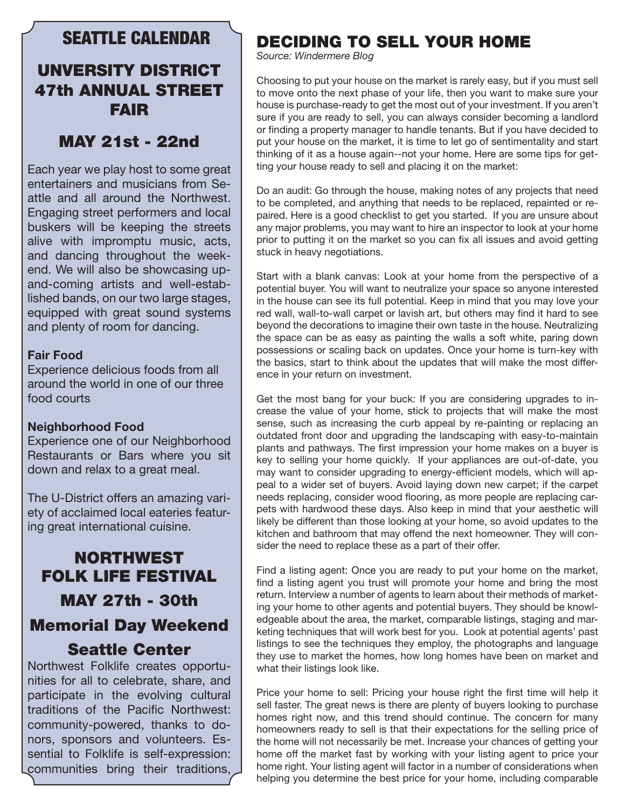### SEATTLE CALENDAR

## UNVERSITY DISTRICT 47th ANNUAL STREET FAIR

## MAY 21st - 22nd

Each year we play host to some great entertainers and musicians from Seattle and all around the Northwest. Engaging street performers and local buskers will be keeping the streets alive with impromptu music, acts, and dancing throughout the weekend. We will also be showcasing upand-coming artists and well-established bands, on our two large stages, equipped with great sound systems and plenty of room for dancing.

#### **Fair Food**

Experience delicious foods from all around the world in one of our three food courts

#### **Neighborhood Food**

Experience one of our Neighborhood Restaurants or Bars where you sit down and relax to a great meal.

The U-District offers an amazing variety of acclaimed local eateries featuring great international cuisine.

## NORTHWEST FOLK LIFE FESTIVAL MAY 27th - 30th Memorial Day Weekend Seattle Center

Northwest Folklife creates opportunities for all to celebrate, share, and participate in the evolving cultural traditions of the Pacific Northwest: community-powered, thanks to donors, sponsors and volunteers. Essential to Folklife is self-expression: communities bring their traditions,

## DECIDING TO SELL YOUR HOME

*Source: Windermere Blog*

Choosing to put your house on the market is rarely easy, but if you must sell to move onto the next phase of your life, then you want to make sure your house is purchase-ready to get the most out of your investment. If you aren't sure if you are ready to sell, you can always consider becoming a landlord or finding a property manager to handle tenants. But if you have decided to put your house on the market, it is time to let go of sentimentality and start thinking of it as a house again--not your home. Here are some tips for getting your house ready to sell and placing it on the market:

Do an audit: Go through the house, making notes of any projects that need to be completed, and anything that needs to be replaced, repainted or repaired. Here is a good checklist to get you started. If you are unsure about any major problems, you may want to hire an inspector to look at your home prior to putting it on the market so you can fix all issues and avoid getting stuck in heavy negotiations.

Start with a blank canvas: Look at your home from the perspective of a potential buyer. You will want to neutralize your space so anyone interested in the house can see its full potential. Keep in mind that you may love your red wall, wall-to-wall carpet or lavish art, but others may find it hard to see beyond the decorations to imagine their own taste in the house. Neutralizing the space can be as easy as painting the walls a soft white, paring down possessions or scaling back on updates. Once your home is turn-key with the basics, start to think about the updates that will make the most difference in your return on investment.

Get the most bang for your buck: If you are considering upgrades to increase the value of your home, stick to projects that will make the most sense, such as increasing the curb appeal by re-painting or replacing an outdated front door and upgrading the landscaping with easy-to-maintain plants and pathways. The first impression your home makes on a buyer is key to selling your home quickly. If your appliances are out-of-date, you may want to consider upgrading to energy-efficient models, which will appeal to a wider set of buyers. Avoid laying down new carpet; if the carpet needs replacing, consider wood flooring, as more people are replacing carpets with hardwood these days. Also keep in mind that your aesthetic will likely be different than those looking at your home, so avoid updates to the kitchen and bathroom that may offend the next homeowner. They will consider the need to replace these as a part of their offer.

Find a listing agent: Once you are ready to put your home on the market, find a listing agent you trust will promote your home and bring the most return. Interview a number of agents to learn about their methods of marketing your home to other agents and potential buyers. They should be knowledgeable about the area, the market, comparable listings, staging and marketing techniques that will work best for you. Look at potential agents' past listings to see the techniques they employ, the photographs and language they use to market the homes, how long homes have been on market and what their listings look like.

Price your home to sell: Pricing your house right the first time will help it sell faster. The great news is there are plenty of buyers looking to purchase homes right now, and this trend should continue. The concern for many homeowners ready to sell is that their expectations for the selling price of the home will not necessarily be met. Increase your chances of getting your home off the market fast by working with your listing agent to price your home right. Your listing agent will factor in a number of considerations when helping you determine the best price for your home, including comparable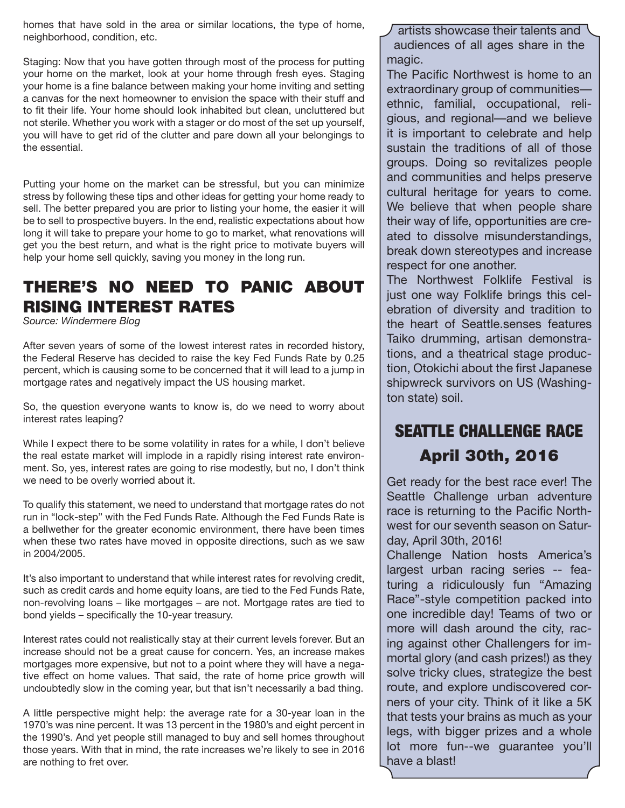homes that have sold in the area or similar locations, the type of home, neighborhood, condition, etc.

Staging: Now that you have gotten through most of the process for putting your home on the market, look at your home through fresh eyes. Staging your home is a fine balance between making your home inviting and setting a canvas for the next homeowner to envision the space with their stuff and to fit their life. Your home should look inhabited but clean, uncluttered but not sterile. Whether you work with a stager or do most of the set up yourself, you will have to get rid of the clutter and pare down all your belongings to the essential.

Putting your home on the market can be stressful, but you can minimize stress by following these tips and other ideas for getting your home ready to sell. The better prepared you are prior to listing your home, the easier it will be to sell to prospective buyers. In the end, realistic expectations about how long it will take to prepare your home to go to market, what renovations will get you the best return, and what is the right price to motivate buyers will help your home sell quickly, saving you money in the long run.

## THERE'S NO NEED TO PANIC ABOUT RISING INTEREST RATES

*Source: Windermere Blog*

After seven years of some of the lowest interest rates in recorded history, the Federal Reserve has decided to raise the key Fed Funds Rate by 0.25 percent, which is causing some to be concerned that it will lead to a jump in mortgage rates and negatively impact the US housing market.

So, the question everyone wants to know is, do we need to worry about interest rates leaping?

While I expect there to be some volatility in rates for a while, I don't believe the real estate market will implode in a rapidly rising interest rate environment. So, yes, interest rates are going to rise modestly, but no, I don't think we need to be overly worried about it.

To qualify this statement, we need to understand that mortgage rates do not run in "lock-step" with the Fed Funds Rate. Although the Fed Funds Rate is a bellwether for the greater economic environment, there have been times when these two rates have moved in opposite directions, such as we saw in 2004/2005.

It's also important to understand that while interest rates for revolving credit, such as credit cards and home equity loans, are tied to the Fed Funds Rate, non-revolving loans – like mortgages – are not. Mortgage rates are tied to bond yields – specifically the 10-year treasury.

Interest rates could not realistically stay at their current levels forever. But an increase should not be a great cause for concern. Yes, an increase makes mortgages more expensive, but not to a point where they will have a negative effect on home values. That said, the rate of home price growth will undoubtedly slow in the coming year, but that isn't necessarily a bad thing.

A little perspective might help: the average rate for a 30-year loan in the 1970's was nine percent. It was 13 percent in the 1980's and eight percent in the 1990's. And yet people still managed to buy and sell homes throughout those years. With that in mind, the rate increases we're likely to see in 2016 are nothing to fret over.

artists showcase their talents and audiences of all ages share in the magic.

The Pacific Northwest is home to an extraordinary group of communities ethnic, familial, occupational, religious, and regional—and we believe it is important to celebrate and help sustain the traditions of all of those groups. Doing so revitalizes people and communities and helps preserve cultural heritage for years to come. We believe that when people share their way of life, opportunities are created to dissolve misunderstandings, break down stereotypes and increase respect for one another.

The Northwest Folklife Festival is just one way Folklife brings this celebration of diversity and tradition to the heart of Seattle.senses features Taiko drumming, artisan demonstrations, and a theatrical stage production, Otokichi about the first Japanese shipwreck survivors on US (Washington state) soil.

# SEATTLE CHALLENGE RACE April 30th, 2016

Get ready for the best race ever! The Seattle Challenge urban adventure race is returning to the Pacific Northwest for our seventh season on Saturday, April 30th, 2016!

Challenge Nation hosts America's largest urban racing series -- featuring a ridiculously fun "Amazing Race"-style competition packed into one incredible day! Teams of two or more will dash around the city, racing against other Challengers for immortal glory (and cash prizes!) as they solve tricky clues, strategize the best route, and explore undiscovered corners of your city. Think of it like a 5K that tests your brains as much as your legs, with bigger prizes and a whole lot more fun--we guarantee you'll have a blast!